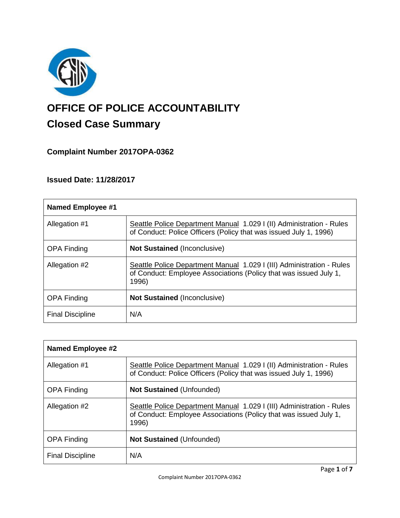

# **OFFICE OF POLICE ACCOUNTABILITY**

# **Closed Case Summary**

## **Complaint Number 2017OPA-0362**

## **Issued Date: 11/28/2017**

| <b>Named Employee #1</b> |                                                                                                                                                     |
|--------------------------|-----------------------------------------------------------------------------------------------------------------------------------------------------|
| Allegation #1            | Seattle Police Department Manual 1.029 I (II) Administration - Rules<br>of Conduct: Police Officers (Policy that was issued July 1, 1996)           |
| <b>OPA Finding</b>       | <b>Not Sustained (Inconclusive)</b>                                                                                                                 |
| Allegation #2            | Seattle Police Department Manual 1.029 I (III) Administration - Rules<br>of Conduct: Employee Associations (Policy that was issued July 1,<br>1996) |
| <b>OPA Finding</b>       | <b>Not Sustained (Inconclusive)</b>                                                                                                                 |
| <b>Final Discipline</b>  | N/A                                                                                                                                                 |

| Named Employee #2       |                                                                                                                                                     |
|-------------------------|-----------------------------------------------------------------------------------------------------------------------------------------------------|
| Allegation #1           | Seattle Police Department Manual 1.029   (II) Administration - Rules<br>of Conduct: Police Officers (Policy that was issued July 1, 1996)           |
| <b>OPA Finding</b>      | <b>Not Sustained (Unfounded)</b>                                                                                                                    |
| Allegation #2           | Seattle Police Department Manual 1.029 I (III) Administration - Rules<br>of Conduct: Employee Associations (Policy that was issued July 1,<br>1996) |
| <b>OPA Finding</b>      | <b>Not Sustained (Unfounded)</b>                                                                                                                    |
| <b>Final Discipline</b> | N/A                                                                                                                                                 |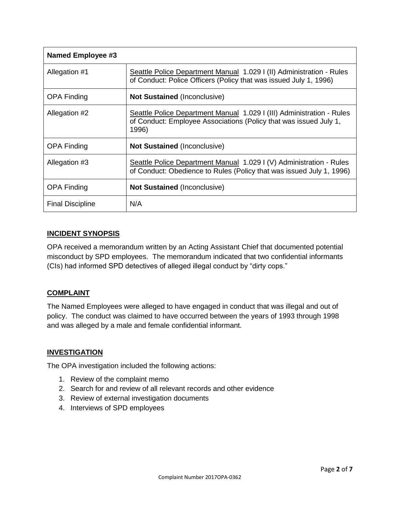| <b>Named Employee #3</b> |                                                                                                                                                     |
|--------------------------|-----------------------------------------------------------------------------------------------------------------------------------------------------|
| Allegation #1            | Seattle Police Department Manual 1.029 I (II) Administration - Rules<br>of Conduct: Police Officers (Policy that was issued July 1, 1996)           |
| <b>OPA Finding</b>       | <b>Not Sustained (Inconclusive)</b>                                                                                                                 |
| Allegation #2            | Seattle Police Department Manual 1.029 I (III) Administration - Rules<br>of Conduct: Employee Associations (Policy that was issued July 1,<br>1996) |
| <b>OPA Finding</b>       | <b>Not Sustained (Inconclusive)</b>                                                                                                                 |
| Allegation #3            | Seattle Police Department Manual 1.029 I (V) Administration - Rules<br>of Conduct: Obedience to Rules (Policy that was issued July 1, 1996)         |
| <b>OPA Finding</b>       | <b>Not Sustained (Inconclusive)</b>                                                                                                                 |
| <b>Final Discipline</b>  | N/A                                                                                                                                                 |

#### **INCIDENT SYNOPSIS**

OPA received a memorandum written by an Acting Assistant Chief that documented potential misconduct by SPD employees. The memorandum indicated that two confidential informants (CIs) had informed SPD detectives of alleged illegal conduct by "dirty cops."

#### **COMPLAINT**

The Named Employees were alleged to have engaged in conduct that was illegal and out of policy. The conduct was claimed to have occurred between the years of 1993 through 1998 and was alleged by a male and female confidential informant.

#### **INVESTIGATION**

The OPA investigation included the following actions:

- 1. Review of the complaint memo
- 2. Search for and review of all relevant records and other evidence
- 3. Review of external investigation documents
- 4. Interviews of SPD employees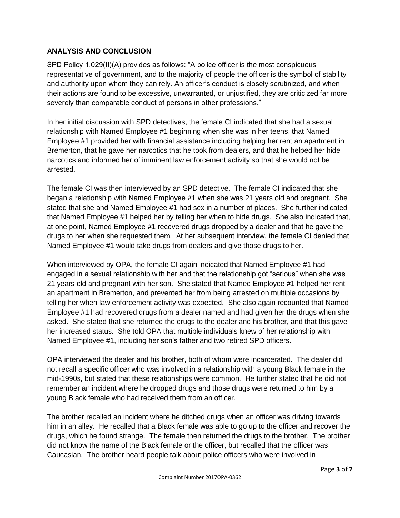#### **ANALYSIS AND CONCLUSION**

SPD Policy 1.029(II)(A) provides as follows: "A police officer is the most conspicuous representative of government, and to the majority of people the officer is the symbol of stability and authority upon whom they can rely. An officer's conduct is closely scrutinized, and when their actions are found to be excessive, unwarranted, or unjustified, they are criticized far more severely than comparable conduct of persons in other professions."

In her initial discussion with SPD detectives, the female CI indicated that she had a sexual relationship with Named Employee #1 beginning when she was in her teens, that Named Employee #1 provided her with financial assistance including helping her rent an apartment in Bremerton, that he gave her narcotics that he took from dealers, and that he helped her hide narcotics and informed her of imminent law enforcement activity so that she would not be arrested.

The female CI was then interviewed by an SPD detective. The female CI indicated that she began a relationship with Named Employee #1 when she was 21 years old and pregnant. She stated that she and Named Employee #1 had sex in a number of places. She further indicated that Named Employee #1 helped her by telling her when to hide drugs. She also indicated that, at one point, Named Employee #1 recovered drugs dropped by a dealer and that he gave the drugs to her when she requested them. At her subsequent interview, the female CI denied that Named Employee #1 would take drugs from dealers and give those drugs to her.

When interviewed by OPA, the female CI again indicated that Named Employee #1 had engaged in a sexual relationship with her and that the relationship got "serious" when she was 21 years old and pregnant with her son. She stated that Named Employee #1 helped her rent an apartment in Bremerton, and prevented her from being arrested on multiple occasions by telling her when law enforcement activity was expected. She also again recounted that Named Employee #1 had recovered drugs from a dealer named and had given her the drugs when she asked. She stated that she returned the drugs to the dealer and his brother, and that this gave her increased status. She told OPA that multiple individuals knew of her relationship with Named Employee #1, including her son's father and two retired SPD officers.

OPA interviewed the dealer and his brother, both of whom were incarcerated. The dealer did not recall a specific officer who was involved in a relationship with a young Black female in the mid-1990s, but stated that these relationships were common. He further stated that he did not remember an incident where he dropped drugs and those drugs were returned to him by a young Black female who had received them from an officer.

The brother recalled an incident where he ditched drugs when an officer was driving towards him in an alley. He recalled that a Black female was able to go up to the officer and recover the drugs, which he found strange. The female then returned the drugs to the brother. The brother did not know the name of the Black female or the officer, but recalled that the officer was Caucasian. The brother heard people talk about police officers who were involved in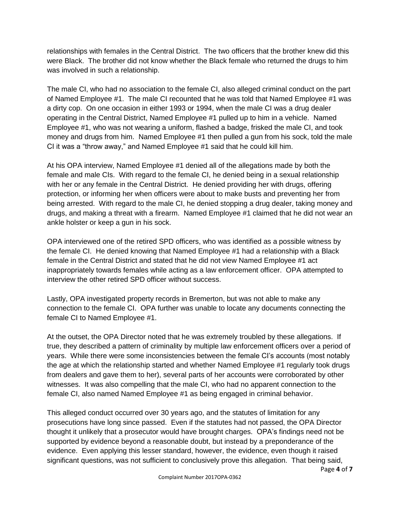relationships with females in the Central District. The two officers that the brother knew did this were Black. The brother did not know whether the Black female who returned the drugs to him was involved in such a relationship.

The male CI, who had no association to the female CI, also alleged criminal conduct on the part of Named Employee #1. The male CI recounted that he was told that Named Employee #1 was a dirty cop. On one occasion in either 1993 or 1994, when the male CI was a drug dealer operating in the Central District, Named Employee #1 pulled up to him in a vehicle. Named Employee #1, who was not wearing a uniform, flashed a badge, frisked the male CI, and took money and drugs from him. Named Employee #1 then pulled a gun from his sock, told the male CI it was a "throw away," and Named Employee #1 said that he could kill him.

At his OPA interview, Named Employee #1 denied all of the allegations made by both the female and male CIs. With regard to the female CI, he denied being in a sexual relationship with her or any female in the Central District. He denied providing her with drugs, offering protection, or informing her when officers were about to make busts and preventing her from being arrested. With regard to the male CI, he denied stopping a drug dealer, taking money and drugs, and making a threat with a firearm. Named Employee #1 claimed that he did not wear an ankle holster or keep a gun in his sock.

OPA interviewed one of the retired SPD officers, who was identified as a possible witness by the female CI. He denied knowing that Named Employee #1 had a relationship with a Black female in the Central District and stated that he did not view Named Employee #1 act inappropriately towards females while acting as a law enforcement officer. OPA attempted to interview the other retired SPD officer without success.

Lastly, OPA investigated property records in Bremerton, but was not able to make any connection to the female CI. OPA further was unable to locate any documents connecting the female CI to Named Employee #1.

At the outset, the OPA Director noted that he was extremely troubled by these allegations. If true, they described a pattern of criminality by multiple law enforcement officers over a period of years. While there were some inconsistencies between the female CI's accounts (most notably the age at which the relationship started and whether Named Employee #1 regularly took drugs from dealers and gave them to her), several parts of her accounts were corroborated by other witnesses. It was also compelling that the male CI, who had no apparent connection to the female CI, also named Named Employee #1 as being engaged in criminal behavior.

This alleged conduct occurred over 30 years ago, and the statutes of limitation for any prosecutions have long since passed. Even if the statutes had not passed, the OPA Director thought it unlikely that a prosecutor would have brought charges. OPA's findings need not be supported by evidence beyond a reasonable doubt, but instead by a preponderance of the evidence. Even applying this lesser standard, however, the evidence, even though it raised significant questions, was not sufficient to conclusively prove this allegation. That being said,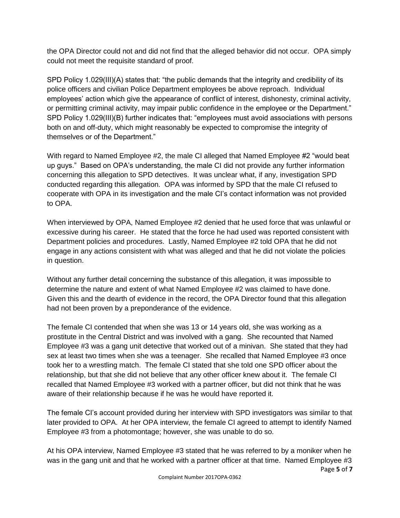the OPA Director could not and did not find that the alleged behavior did not occur. OPA simply could not meet the requisite standard of proof.

SPD Policy 1.029(III)(A) states that: "the public demands that the integrity and credibility of its police officers and civilian Police Department employees be above reproach. Individual employees' action which give the appearance of conflict of interest, dishonesty, criminal activity, or permitting criminal activity, may impair public confidence in the employee or the Department." SPD Policy 1.029(III)(B) further indicates that: "employees must avoid associations with persons both on and off-duty, which might reasonably be expected to compromise the integrity of themselves or of the Department."

With regard to Named Employee #2, the male CI alleged that Named Employee #2 "would beat up guys." Based on OPA's understanding, the male CI did not provide any further information concerning this allegation to SPD detectives. It was unclear what, if any, investigation SPD conducted regarding this allegation. OPA was informed by SPD that the male CI refused to cooperate with OPA in its investigation and the male CI's contact information was not provided to OPA.

When interviewed by OPA, Named Employee #2 denied that he used force that was unlawful or excessive during his career. He stated that the force he had used was reported consistent with Department policies and procedures. Lastly, Named Employee #2 told OPA that he did not engage in any actions consistent with what was alleged and that he did not violate the policies in question.

Without any further detail concerning the substance of this allegation, it was impossible to determine the nature and extent of what Named Employee #2 was claimed to have done. Given this and the dearth of evidence in the record, the OPA Director found that this allegation had not been proven by a preponderance of the evidence.

The female CI contended that when she was 13 or 14 years old, she was working as a prostitute in the Central District and was involved with a gang. She recounted that Named Employee #3 was a gang unit detective that worked out of a minivan. She stated that they had sex at least two times when she was a teenager. She recalled that Named Employee #3 once took her to a wrestling match. The female CI stated that she told one SPD officer about the relationship, but that she did not believe that any other officer knew about it. The female CI recalled that Named Employee #3 worked with a partner officer, but did not think that he was aware of their relationship because if he was he would have reported it.

The female CI's account provided during her interview with SPD investigators was similar to that later provided to OPA. At her OPA interview, the female CI agreed to attempt to identify Named Employee #3 from a photomontage; however, she was unable to do so.

Page **5** of **7** At his OPA interview, Named Employee #3 stated that he was referred to by a moniker when he was in the gang unit and that he worked with a partner officer at that time. Named Employee #3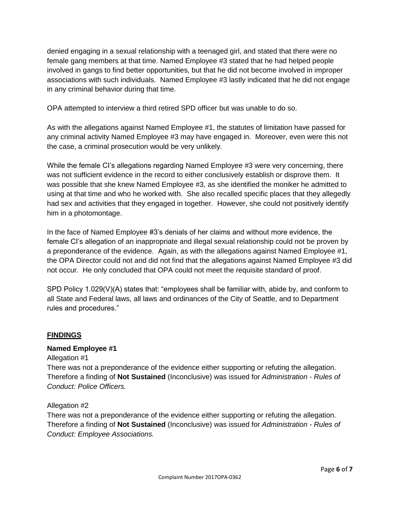denied engaging in a sexual relationship with a teenaged girl, and stated that there were no female gang members at that time. Named Employee #3 stated that he had helped people involved in gangs to find better opportunities, but that he did not become involved in improper associations with such individuals. Named Employee #3 lastly indicated that he did not engage in any criminal behavior during that time.

OPA attempted to interview a third retired SPD officer but was unable to do so.

As with the allegations against Named Employee #1, the statutes of limitation have passed for any criminal activity Named Employee #3 may have engaged in. Moreover, even were this not the case, a criminal prosecution would be very unlikely.

While the female CI's allegations regarding Named Employee #3 were very concerning, there was not sufficient evidence in the record to either conclusively establish or disprove them. It was possible that she knew Named Employee #3, as she identified the moniker he admitted to using at that time and who he worked with. She also recalled specific places that they allegedly had sex and activities that they engaged in together. However, she could not positively identify him in a photomontage.

In the face of Named Employee #3's denials of her claims and without more evidence, the female CI's allegation of an inappropriate and illegal sexual relationship could not be proven by a preponderance of the evidence. Again, as with the allegations against Named Employee #1, the OPA Director could not and did not find that the allegations against Named Employee #3 did not occur. He only concluded that OPA could not meet the requisite standard of proof.

SPD Policy 1.029(V)(A) states that: "employees shall be familiar with, abide by, and conform to all State and Federal laws, all laws and ordinances of the City of Seattle, and to Department rules and procedures."

#### **FINDINGS**

#### **Named Employee #1**

Allegation #1

There was not a preponderance of the evidence either supporting or refuting the allegation. Therefore a finding of **Not Sustained** (Inconclusive) was issued for *Administration - Rules of Conduct: Police Officers.*

#### Allegation #2

There was not a preponderance of the evidence either supporting or refuting the allegation. Therefore a finding of **Not Sustained** (Inconclusive) was issued for *Administration - Rules of Conduct: Employee Associations.*